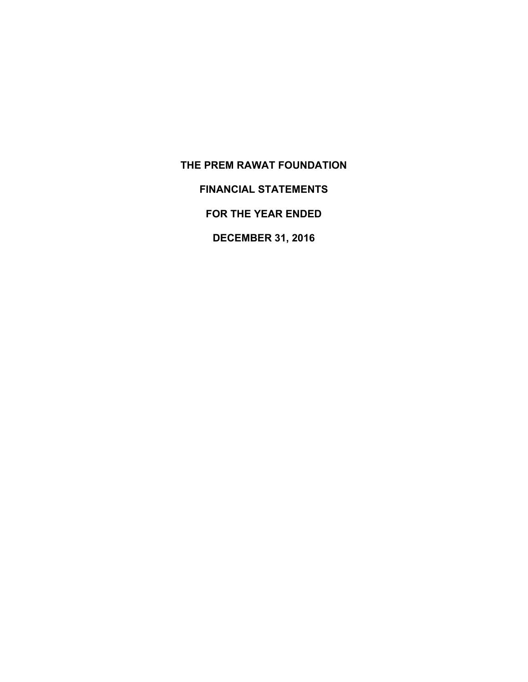# **THE PREM RAWAT FOUNDATION**

**FINANCIAL STATEMENTS** 

**FOR THE YEAR ENDED** 

**DECEMBER 31, 2016**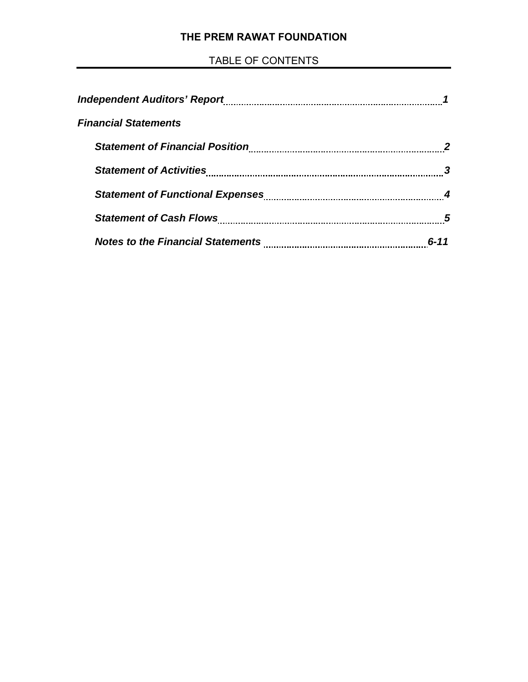# **THE PREM RAWAT FOUNDATION**

# TABLE OF CONTENTS

| <b>Financial Statements</b> |  |
|-----------------------------|--|
|                             |  |
|                             |  |
|                             |  |
|                             |  |
|                             |  |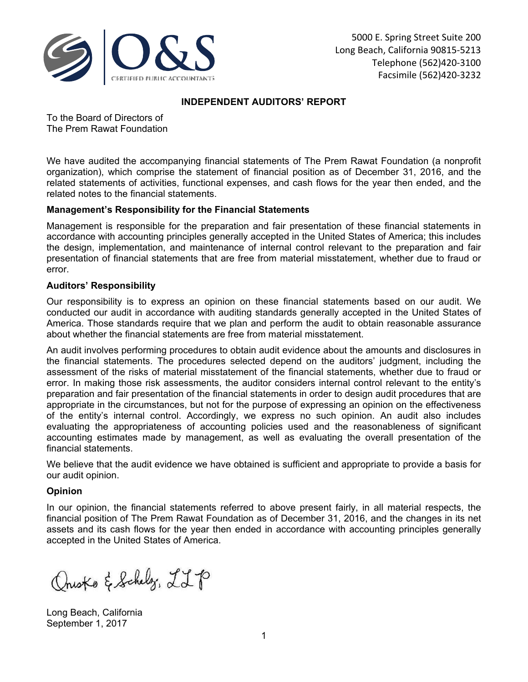

### **INDEPENDENT AUDITORS' REPORT**

To the Board of Directors of The Prem Rawat Foundation

We have audited the accompanying financial statements of The Prem Rawat Foundation (a nonprofit organization), which comprise the statement of financial position as of December 31, 2016, and the related statements of activities, functional expenses, and cash flows for the year then ended, and the related notes to the financial statements.

## **Management's Responsibility for the Financial Statements**

Management is responsible for the preparation and fair presentation of these financial statements in accordance with accounting principles generally accepted in the United States of America; this includes the design, implementation, and maintenance of internal control relevant to the preparation and fair presentation of financial statements that are free from material misstatement, whether due to fraud or error.

#### **Auditors' Responsibility**

Our responsibility is to express an opinion on these financial statements based on our audit. We conducted our audit in accordance with auditing standards generally accepted in the United States of America. Those standards require that we plan and perform the audit to obtain reasonable assurance about whether the financial statements are free from material misstatement.

An audit involves performing procedures to obtain audit evidence about the amounts and disclosures in the financial statements. The procedures selected depend on the auditors' judgment, including the assessment of the risks of material misstatement of the financial statements, whether due to fraud or error. In making those risk assessments, the auditor considers internal control relevant to the entity's preparation and fair presentation of the financial statements in order to design audit procedures that are appropriate in the circumstances, but not for the purpose of expressing an opinion on the effectiveness of the entity's internal control. Accordingly, we express no such opinion. An audit also includes evaluating the appropriateness of accounting policies used and the reasonableness of significant accounting estimates made by management, as well as evaluating the overall presentation of the financial statements.

We believe that the audit evidence we have obtained is sufficient and appropriate to provide a basis for our audit opinion.

#### **Opinion**

In our opinion, the financial statements referred to above present fairly, in all material respects, the financial position of The Prem Rawat Foundation as of December 31, 2016, and the changes in its net assets and its cash flows for the year then ended in accordance with accounting principles generally accepted in the United States of America.

Questo & Schelz, LLP

Long Beach, California September 1, 2017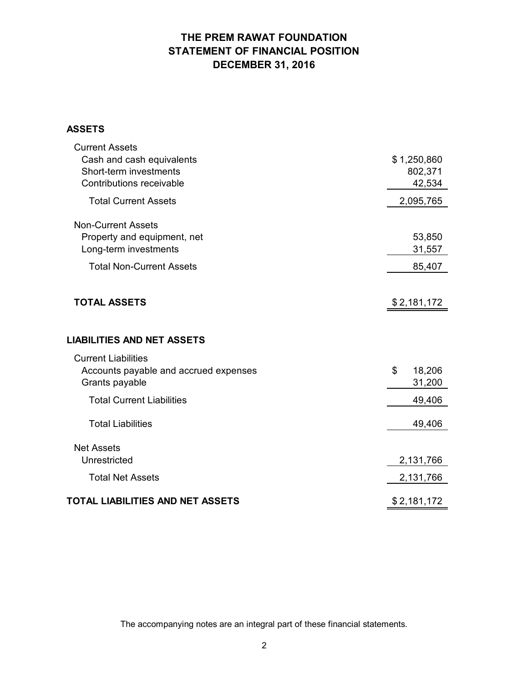# **THE PREM RAWAT FOUNDATION STATEMENT OF FINANCIAL POSITION DECEMBER 31, 2016**

## **ASSETS**

| <b>Current Assets</b>                 |              |
|---------------------------------------|--------------|
| Cash and cash equivalents             | \$1,250,860  |
| Short-term investments                | 802,371      |
| Contributions receivable              | 42,534       |
|                                       |              |
| <b>Total Current Assets</b>           | 2,095,765    |
| <b>Non-Current Assets</b>             |              |
| Property and equipment, net           | 53,850       |
| Long-term investments                 | 31,557       |
|                                       |              |
| <b>Total Non-Current Assets</b>       | 85,407       |
|                                       |              |
| <b>TOTAL ASSETS</b>                   | \$2,181,172  |
|                                       |              |
|                                       |              |
| <b>LIABILITIES AND NET ASSETS</b>     |              |
| <b>Current Liabilities</b>            |              |
| Accounts payable and accrued expenses | \$<br>18,206 |
| Grants payable                        | 31,200       |
| <b>Total Current Liabilities</b>      | 49,406       |
|                                       |              |
| <b>Total Liabilities</b>              | 49,406       |
|                                       |              |
| <b>Net Assets</b>                     |              |
| Unrestricted                          | 2,131,766    |
| <b>Total Net Assets</b>               | 2,131,766    |
|                                       |              |
| TOTAL LIABILITIES AND NET ASSETS      | \$2,181,172  |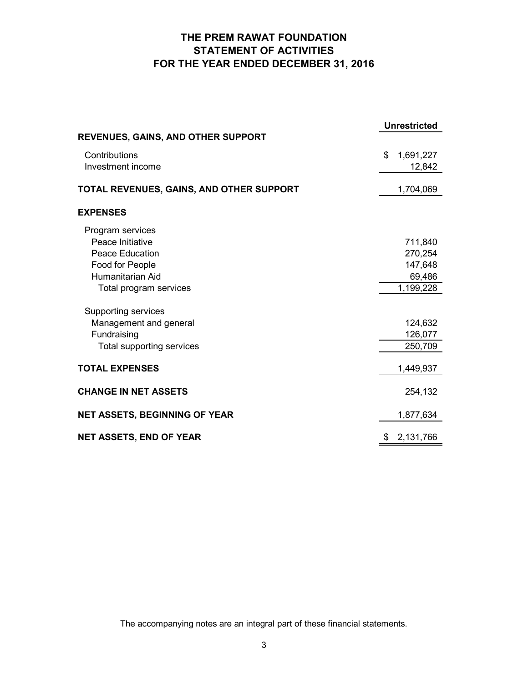## **THE PREM RAWAT FOUNDATION STATEMENT OF ACTIVITIES FOR THE YEAR ENDED DECEMBER 31, 2016**

|                                           | <b>Unrestricted</b>    |
|-------------------------------------------|------------------------|
| <b>REVENUES, GAINS, AND OTHER SUPPORT</b> |                        |
| Contributions                             | \$<br>1,691,227        |
| Investment income                         | 12,842                 |
| TOTAL REVENUES, GAINS, AND OTHER SUPPORT  | 1,704,069              |
| <b>EXPENSES</b>                           |                        |
| Program services                          |                        |
| Peace Initiative                          | 711,840                |
| Peace Education                           | 270,254                |
| Food for People                           | 147,648                |
| Humanitarian Aid                          | 69,486                 |
| Total program services                    | $\overline{1,199,228}$ |
| Supporting services                       |                        |
| Management and general                    | 124,632                |
| Fundraising                               | 126,077                |
| Total supporting services                 | 250,709                |
| <b>TOTAL EXPENSES</b>                     | 1,449,937              |
|                                           |                        |
| <b>CHANGE IN NET ASSETS</b>               | 254,132                |
| <b>NET ASSETS, BEGINNING OF YEAR</b>      | 1,877,634              |
| <b>NET ASSETS, END OF YEAR</b>            | \$2,131,766            |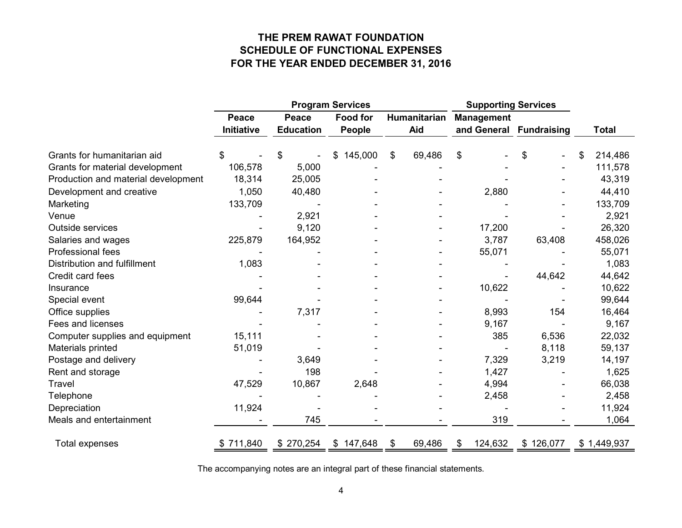# **THE PREM RAWAT FOUNDATION SCHEDULE OF FUNCTIONAL EXPENSES FOR THE YEAR ENDED DECEMBER 31, 2016**

|                                     | <b>Program Services</b> |                  |                 |    | <b>Supporting Services</b> |                   |                    |               |
|-------------------------------------|-------------------------|------------------|-----------------|----|----------------------------|-------------------|--------------------|---------------|
|                                     | Peace                   | Peace            | <b>Food for</b> |    | Humanitarian               | <b>Management</b> |                    |               |
|                                     | <b>Initiative</b>       | <b>Education</b> | <b>People</b>   |    | Aid                        | and General       | <b>Fundraising</b> | <b>Total</b>  |
| Grants for humanitarian aid         | \$                      | \$               | 145,000<br>\$   | \$ | 69,486                     | \$                | \$                 | \$<br>214,486 |
| Grants for material development     | 106,578                 | 5,000            |                 |    |                            |                   |                    | 111,578       |
| Production and material development | 18,314                  | 25,005           |                 |    |                            |                   |                    | 43,319        |
| Development and creative            | 1,050                   | 40,480           |                 |    |                            | 2,880             |                    | 44,410        |
| Marketing                           | 133,709                 |                  |                 |    |                            |                   |                    | 133,709       |
| Venue                               |                         | 2,921            |                 |    |                            |                   |                    | 2,921         |
| <b>Outside services</b>             |                         | 9,120            |                 |    |                            | 17,200            |                    | 26,320        |
| Salaries and wages                  | 225,879                 | 164,952          |                 |    |                            | 3,787             | 63,408             | 458,026       |
| Professional fees                   |                         |                  |                 |    |                            | 55,071            |                    | 55,071        |
| Distribution and fulfillment        | 1,083                   |                  |                 |    |                            |                   |                    | 1,083         |
| Credit card fees                    |                         |                  |                 |    |                            |                   | 44,642             | 44,642        |
| Insurance                           |                         |                  |                 |    |                            | 10,622            |                    | 10,622        |
| Special event                       | 99,644                  |                  |                 |    |                            |                   |                    | 99,644        |
| Office supplies                     |                         | 7,317            |                 |    |                            | 8,993             | 154                | 16,464        |
| Fees and licenses                   |                         |                  |                 |    |                            | 9,167             |                    | 9,167         |
| Computer supplies and equipment     | 15,111                  |                  |                 |    |                            | 385               | 6,536              | 22,032        |
| Materials printed                   | 51,019                  |                  |                 |    |                            |                   | 8,118              | 59,137        |
| Postage and delivery                |                         | 3,649            |                 |    |                            | 7,329             | 3,219              | 14,197        |
| Rent and storage                    |                         | 198              |                 |    |                            | 1,427             |                    | 1,625         |
| Travel                              | 47,529                  | 10,867           | 2,648           |    |                            | 4,994             |                    | 66,038        |
| Telephone                           |                         |                  |                 |    |                            | 2,458             |                    | 2,458         |
| Depreciation                        | 11,924                  |                  |                 |    |                            |                   |                    | 11,924        |
| Meals and entertainment             |                         | 745              |                 |    |                            | 319               |                    | 1,064         |
| Total expenses                      | \$711,840               | \$270,254        | \$147,648       | \$ | 69,486                     | 124,632<br>\$     | \$126,077          | \$1,449,937   |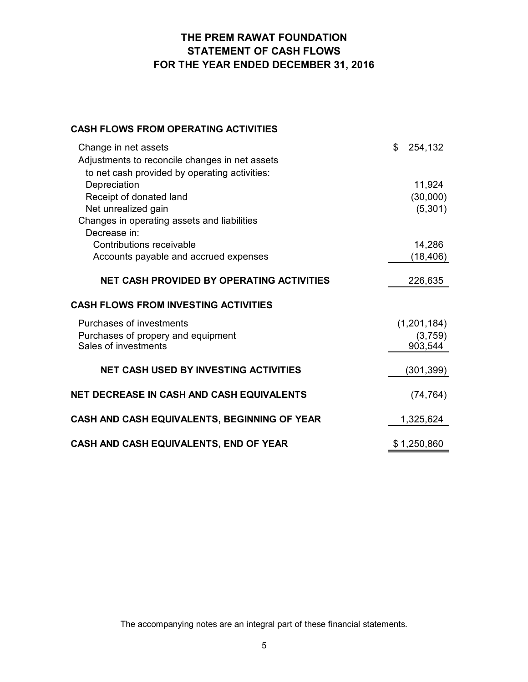# **THE PREM RAWAT FOUNDATION STATEMENT OF CASH FLOWS FOR THE YEAR ENDED DECEMBER 31, 2016**

## **CASH FLOWS FROM OPERATING ACTIVITIES**

| Change in net assets                                | \$<br>254,132 |
|-----------------------------------------------------|---------------|
| Adjustments to reconcile changes in net assets      |               |
| to net cash provided by operating activities:       |               |
| Depreciation                                        | 11,924        |
| Receipt of donated land                             | (30,000)      |
| Net unrealized gain                                 | (5,301)       |
| Changes in operating assets and liabilities         |               |
| Decrease in:                                        |               |
| Contributions receivable                            | 14,286        |
| Accounts payable and accrued expenses               | (18,406)      |
|                                                     |               |
| <b>NET CASH PROVIDED BY OPERATING ACTIVITIES</b>    | 226,635       |
| <b>CASH FLOWS FROM INVESTING ACTIVITIES</b>         |               |
| Purchases of investments                            | (1,201,184)   |
| Purchases of propery and equipment                  | (3,759)       |
| Sales of investments                                | 903,544       |
| <b>NET CASH USED BY INVESTING ACTIVITIES</b>        |               |
|                                                     | (301, 399)    |
| NET DECREASE IN CASH AND CASH EQUIVALENTS           | (74, 764)     |
| <b>CASH AND CASH EQUIVALENTS, BEGINNING OF YEAR</b> | 1,325,624     |
|                                                     |               |
| <b>CASH AND CASH EQUIVALENTS, END OF YEAR</b>       | \$1,250,860   |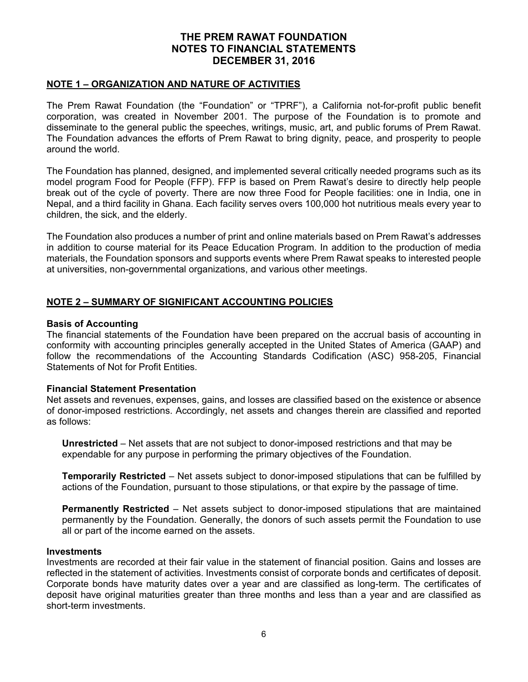#### **NOTE 1 – ORGANIZATION AND NATURE OF ACTIVITIES**

The Prem Rawat Foundation (the "Foundation" or "TPRF"), a California not-for-profit public benefit corporation, was created in November 2001. The purpose of the Foundation is to promote and disseminate to the general public the speeches, writings, music, art, and public forums of Prem Rawat. The Foundation advances the efforts of Prem Rawat to bring dignity, peace, and prosperity to people around the world.

The Foundation has planned, designed, and implemented several critically needed programs such as its model program Food for People (FFP). FFP is based on Prem Rawat's desire to directly help people break out of the cycle of poverty. There are now three Food for People facilities: one in India, one in Nepal, and a third facility in Ghana. Each facility serves overs 100,000 hot nutritious meals every year to children, the sick, and the elderly.

The Foundation also produces a number of print and online materials based on Prem Rawat's addresses in addition to course material for its Peace Education Program. In addition to the production of media materials, the Foundation sponsors and supports events where Prem Rawat speaks to interested people at universities, non-governmental organizations, and various other meetings.

## **NOTE 2 – SUMMARY OF SIGNIFICANT ACCOUNTING POLICIES**

#### **Basis of Accounting**

The financial statements of the Foundation have been prepared on the accrual basis of accounting in conformity with accounting principles generally accepted in the United States of America (GAAP) and follow the recommendations of the Accounting Standards Codification (ASC) 958-205, Financial Statements of Not for Profit Entities.

#### **Financial Statement Presentation**

Net assets and revenues, expenses, gains, and losses are classified based on the existence or absence of donor-imposed restrictions. Accordingly, net assets and changes therein are classified and reported as follows:

**Unrestricted** – Net assets that are not subject to donor-imposed restrictions and that may be expendable for any purpose in performing the primary objectives of the Foundation.

**Temporarily Restricted** – Net assets subject to donor-imposed stipulations that can be fulfilled by actions of the Foundation, pursuant to those stipulations, or that expire by the passage of time.

**Permanently Restricted** – Net assets subject to donor-imposed stipulations that are maintained permanently by the Foundation. Generally, the donors of such assets permit the Foundation to use all or part of the income earned on the assets.

#### **Investments**

Investments are recorded at their fair value in the statement of financial position. Gains and losses are reflected in the statement of activities. Investments consist of corporate bonds and certificates of deposit. Corporate bonds have maturity dates over a year and are classified as long-term. The certificates of deposit have original maturities greater than three months and less than a year and are classified as short-term investments.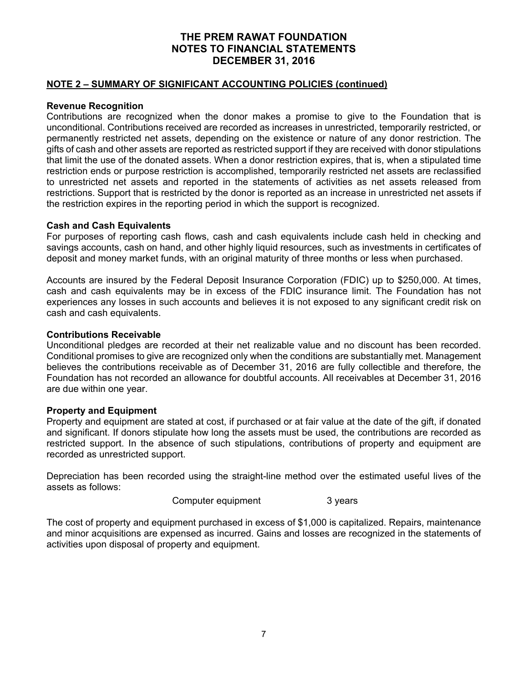#### **NOTE 2 – SUMMARY OF SIGNIFICANT ACCOUNTING POLICIES (continued)**

### **Revenue Recognition**

Contributions are recognized when the donor makes a promise to give to the Foundation that is unconditional. Contributions received are recorded as increases in unrestricted, temporarily restricted, or permanently restricted net assets, depending on the existence or nature of any donor restriction. The gifts of cash and other assets are reported as restricted support if they are received with donor stipulations that limit the use of the donated assets. When a donor restriction expires, that is, when a stipulated time restriction ends or purpose restriction is accomplished, temporarily restricted net assets are reclassified to unrestricted net assets and reported in the statements of activities as net assets released from restrictions. Support that is restricted by the donor is reported as an increase in unrestricted net assets if the restriction expires in the reporting period in which the support is recognized.

### **Cash and Cash Equivalents**

For purposes of reporting cash flows, cash and cash equivalents include cash held in checking and savings accounts, cash on hand, and other highly liquid resources, such as investments in certificates of deposit and money market funds, with an original maturity of three months or less when purchased.

Accounts are insured by the Federal Deposit Insurance Corporation (FDIC) up to \$250,000. At times, cash and cash equivalents may be in excess of the FDIC insurance limit. The Foundation has not experiences any losses in such accounts and believes it is not exposed to any significant credit risk on cash and cash equivalents.

### **Contributions Receivable**

Unconditional pledges are recorded at their net realizable value and no discount has been recorded. Conditional promises to give are recognized only when the conditions are substantially met. Management believes the contributions receivable as of December 31, 2016 are fully collectible and therefore, the Foundation has not recorded an allowance for doubtful accounts. All receivables at December 31, 2016 are due within one year.

## **Property and Equipment**

Property and equipment are stated at cost, if purchased or at fair value at the date of the gift, if donated and significant. If donors stipulate how long the assets must be used, the contributions are recorded as restricted support. In the absence of such stipulations, contributions of property and equipment are recorded as unrestricted support.

Depreciation has been recorded using the straight-line method over the estimated useful lives of the assets as follows:

Computer equipment 3 years

The cost of property and equipment purchased in excess of \$1,000 is capitalized. Repairs, maintenance and minor acquisitions are expensed as incurred. Gains and losses are recognized in the statements of activities upon disposal of property and equipment.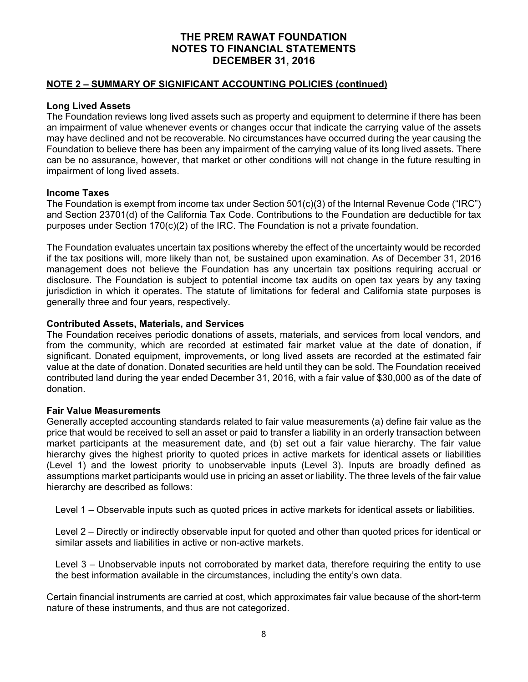#### **NOTE 2 – SUMMARY OF SIGNIFICANT ACCOUNTING POLICIES (continued)**

### **Long Lived Assets**

The Foundation reviews long lived assets such as property and equipment to determine if there has been an impairment of value whenever events or changes occur that indicate the carrying value of the assets may have declined and not be recoverable. No circumstances have occurred during the year causing the Foundation to believe there has been any impairment of the carrying value of its long lived assets. There can be no assurance, however, that market or other conditions will not change in the future resulting in impairment of long lived assets.

#### **Income Taxes**

The Foundation is exempt from income tax under Section 501(c)(3) of the Internal Revenue Code ("IRC") and Section 23701(d) of the California Tax Code. Contributions to the Foundation are deductible for tax purposes under Section 170(c)(2) of the IRC. The Foundation is not a private foundation.

The Foundation evaluates uncertain tax positions whereby the effect of the uncertainty would be recorded if the tax positions will, more likely than not, be sustained upon examination. As of December 31, 2016 management does not believe the Foundation has any uncertain tax positions requiring accrual or disclosure. The Foundation is subject to potential income tax audits on open tax years by any taxing jurisdiction in which it operates. The statute of limitations for federal and California state purposes is generally three and four years, respectively.

### **Contributed Assets, Materials, and Services**

The Foundation receives periodic donations of assets, materials, and services from local vendors, and from the community, which are recorded at estimated fair market value at the date of donation, if significant. Donated equipment, improvements, or long lived assets are recorded at the estimated fair value at the date of donation. Donated securities are held until they can be sold. The Foundation received contributed land during the year ended December 31, 2016, with a fair value of \$30,000 as of the date of donation.

#### **Fair Value Measurements**

Generally accepted accounting standards related to fair value measurements (a) define fair value as the price that would be received to sell an asset or paid to transfer a liability in an orderly transaction between market participants at the measurement date, and (b) set out a fair value hierarchy. The fair value hierarchy gives the highest priority to quoted prices in active markets for identical assets or liabilities (Level 1) and the lowest priority to unobservable inputs (Level 3). Inputs are broadly defined as assumptions market participants would use in pricing an asset or liability. The three levels of the fair value hierarchy are described as follows:

Level 1 – Observable inputs such as quoted prices in active markets for identical assets or liabilities.

Level 2 – Directly or indirectly observable input for quoted and other than quoted prices for identical or similar assets and liabilities in active or non-active markets.

Level 3 – Unobservable inputs not corroborated by market data, therefore requiring the entity to use the best information available in the circumstances, including the entity's own data.

Certain financial instruments are carried at cost, which approximates fair value because of the short-term nature of these instruments, and thus are not categorized.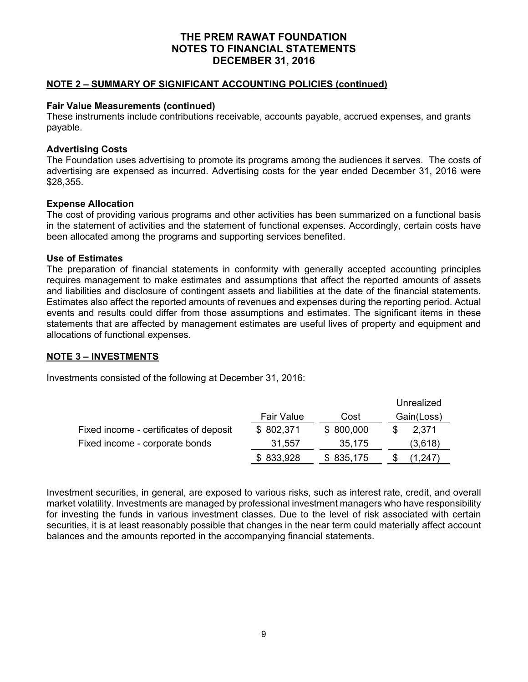### **NOTE 2 – SUMMARY OF SIGNIFICANT ACCOUNTING POLICIES (continued)**

### **Fair Value Measurements (continued)**

These instruments include contributions receivable, accounts payable, accrued expenses, and grants payable.

### **Advertising Costs**

The Foundation uses advertising to promote its programs among the audiences it serves. The costs of advertising are expensed as incurred. Advertising costs for the year ended December 31, 2016 were \$28,355.

### **Expense Allocation**

The cost of providing various programs and other activities has been summarized on a functional basis in the statement of activities and the statement of functional expenses. Accordingly, certain costs have been allocated among the programs and supporting services benefited.

### **Use of Estimates**

The preparation of financial statements in conformity with generally accepted accounting principles requires management to make estimates and assumptions that affect the reported amounts of assets and liabilities and disclosure of contingent assets and liabilities at the date of the financial statements. Estimates also affect the reported amounts of revenues and expenses during the reporting period. Actual events and results could differ from those assumptions and estimates. The significant items in these statements that are affected by management estimates are useful lives of property and equipment and allocations of functional expenses.

## **NOTE 3 – INVESTMENTS**

Investments consisted of the following at December 31, 2016:

|                                        |            |            | Unrealized |
|----------------------------------------|------------|------------|------------|
|                                        | Fair Value | Cost       | Gain(Loss) |
| Fixed income - certificates of deposit | \$802,371  | \$ 800,000 | 2,371      |
| Fixed income - corporate bonds         | 31,557     | 35,175     | (3,618)    |
|                                        | \$833,928  | \$835,175  | (1,247)    |

Investment securities, in general, are exposed to various risks, such as interest rate, credit, and overall market volatility. Investments are managed by professional investment managers who have responsibility for investing the funds in various investment classes. Due to the level of risk associated with certain securities, it is at least reasonably possible that changes in the near term could materially affect account balances and the amounts reported in the accompanying financial statements.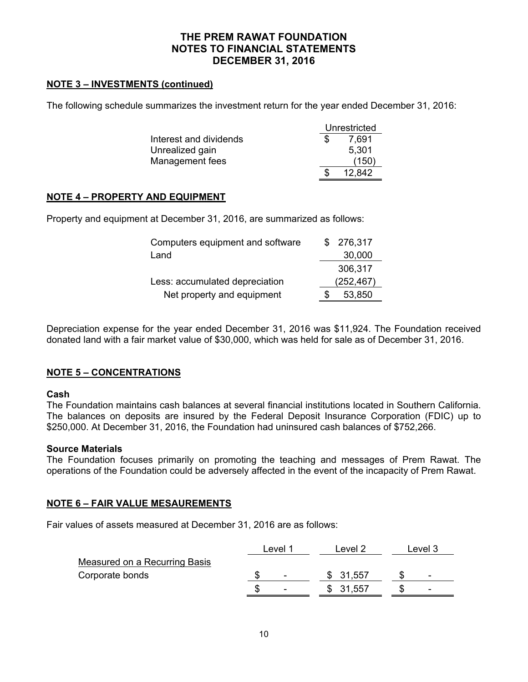### **NOTE 3 – INVESTMENTS (continued)**

The following schedule summarizes the investment return for the year ended December 31, 2016:

|                        | Unrestricted |  |  |
|------------------------|--------------|--|--|
| Interest and dividends | 7,691        |  |  |
| Unrealized gain        | 5,301        |  |  |
| Management fees        | (150)        |  |  |
|                        | 12.842       |  |  |

## **NOTE 4 – PROPERTY AND EQUIPMENT**

Property and equipment at December 31, 2016, are summarized as follows:

| Computers equipment and software | \$276,317  |
|----------------------------------|------------|
| Land                             | 30,000     |
|                                  | 306,317    |
| Less: accumulated depreciation   | (252, 467) |
| Net property and equipment       | 53,850     |

Depreciation expense for the year ended December 31, 2016 was \$11,924. The Foundation received donated land with a fair market value of \$30,000, which was held for sale as of December 31, 2016.

## **NOTE 5 – CONCENTRATIONS**

#### **Cash**

The Foundation maintains cash balances at several financial institutions located in Southern California. The balances on deposits are insured by the Federal Deposit Insurance Corporation (FDIC) up to \$250,000. At December 31, 2016, the Foundation had uninsured cash balances of \$752,266.

#### **Source Materials**

The Foundation focuses primarily on promoting the teaching and messages of Prem Rawat. The operations of the Foundation could be adversely affected in the event of the incapacity of Prem Rawat.

#### **NOTE 6 – FAIR VALUE MESAUREMENTS**

Fair values of assets measured at December 31, 2016 are as follows:

|                               | Level 1 |   | Level 2  |  |                          | Level 3 |  |
|-------------------------------|---------|---|----------|--|--------------------------|---------|--|
| Measured on a Recurring Basis |         |   |          |  |                          |         |  |
| Corporate bonds               |         | - | \$31,557 |  | $\overline{\phantom{a}}$ |         |  |
|                               |         | - | \$31,557 |  | $\overline{\phantom{0}}$ |         |  |